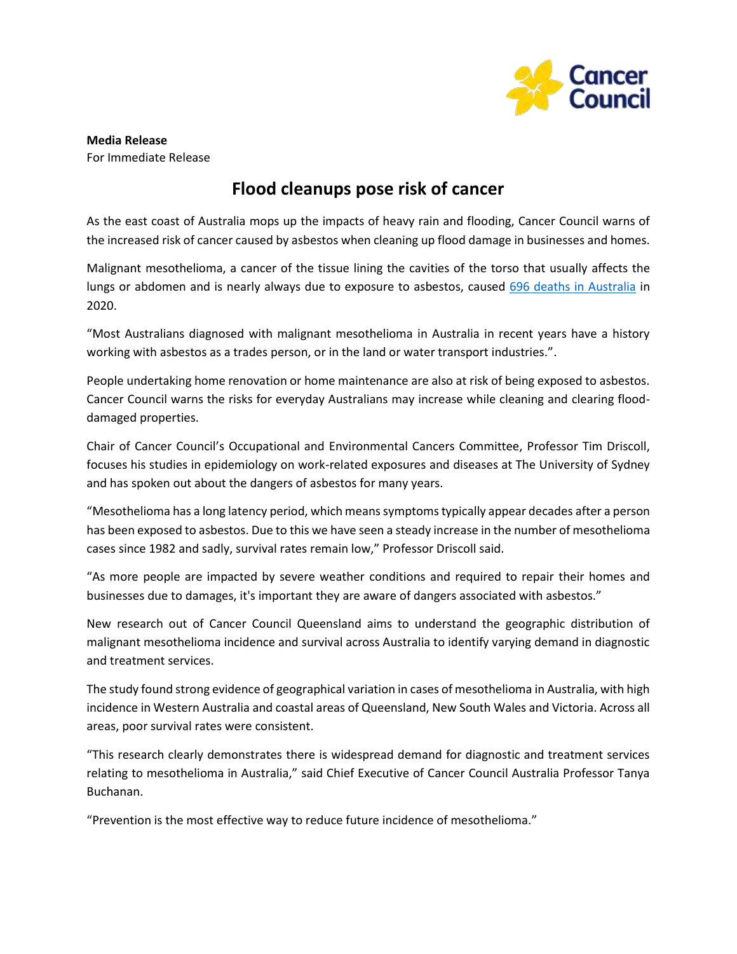

**Media Release** For Immediate Release

## **Flood cleanups pose risk of cancer**

As the east coast of Australia mops up the impacts of heavy rain and flooding, Cancer Council warns of the increased risk of cancer caused by asbestos when cleaning up flood damage in businesses and homes.

Malignant mesothelioma, a cancer of the tissue lining the cavities of the torso that usually affects the lungs or abdomen and is nearly always due to exposure to asbestos, caused [696 deaths in Australia](https://www.aihw.gov.au/reports/cancer/mesothelioma-in-australia-2020/summary) in 2020.

"Most Australians diagnosed with malignant mesothelioma in Australia in recent years have a history working with asbestos as a trades person, or in the land or water transport industries.".

People undertaking home renovation or home maintenance are also at risk of being exposed to asbestos. Cancer Council warns the risks for everyday Australians may increase while cleaning and clearing flooddamaged properties.

Chair of Cancer Council's Occupational and Environmental Cancers Committee, Professor Tim Driscoll, focuses his studies in epidemiology on work-related exposures and diseases at The University of Sydney and has spoken out about the dangers of asbestos for many years.

"Mesothelioma has a long latency period, which means symptoms typically appear decades after a person has been exposed to asbestos. Due to this we have seen a steady increase in the number of mesothelioma cases since 1982 and sadly, survival rates remain low," Professor Driscoll said.

"As more people are impacted by severe weather conditions and required to repair their homes and businesses due to damages, it's important they are aware of dangers associated with asbestos."

New research out of Cancer Council Queensland aims to understand the geographic distribution of malignant mesothelioma incidence and survival across Australia to identify varying demand in diagnostic and treatment services.

The study found strong evidence of geographical variation in cases of mesothelioma in Australia, with high incidence in Western Australia and coastal areas of Queensland, New South Wales and Victoria. Across all areas, poor survival rates were consistent.

"This research clearly demonstrates there is widespread demand for diagnostic and treatment services relating to mesothelioma in Australia," said Chief Executive of Cancer Council Australia Professor Tanya Buchanan.

"Prevention is the most effective way to reduce future incidence of mesothelioma."